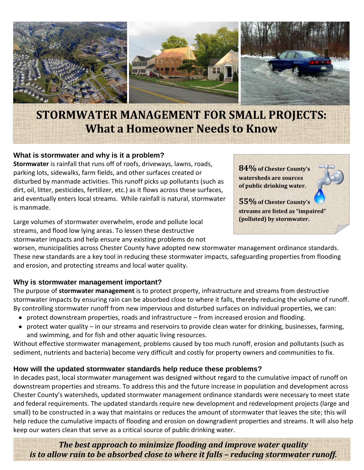

# **STORMWATER MANAGEMENT FOR SMALL PROJECTS: What a Homeowner Needs to Know**

## **What is stormwater and why is it a problem?**

**Stormwater** is rainfall that runs off of roofs, driveways, lawns, roads, parking lots, sidewalks, farm fields, and other surfaces created or disturbed by manmade activities. This runoff picks up pollutants (such as dirt, oil, litter, pesticides, fertilizer, etc.) as it flows across these surfaces, and eventually enters local streams. While rainfall is natural, stormwater is manmade.

Large volumes of stormwater overwhelm, erode and pollute local streams, and flood low lying areas. To lessen these destructive stormwater impacts and help ensure any existing problems do not

**(polluted) by stormwater.**

**84%of Chester County's watersheds are sources of public drinking water.**

**55%of Chester County's** 

**streams are listed as "impaired"** 

worsen, municipalities across Chester County have adopted new stormwater management ordinance standards. These new standards are a key tool in reducing these stormwater impacts, safeguarding properties from flooding and erosion, and protecting streams and local water quality.

### **Why is stormwater management important?**

The purpose of **stormwater management** is to protect property, infrastructure and streams from destructive stormwater impacts by ensuring rain can be absorbed close to where it falls, thereby reducing the volume of runoff. By controlling stormwater runoff from new impervious and disturbed surfaces on individual properties, we can:

- protect downstream properties, roads and infrastructure from increased erosion and flooding.
- $\bullet$ protect water quality – in our streams and reservoirs to provide clean water for drinking, businesses, farming, and swimming, and for fish and other aquatic living resources.

Without effective stormwater management, problems caused by too much runoff, erosion and pollutants (such as sediment, nutrients and bacteria) become very difficult and costly for property owners and communities to fix.

### **How will the updated stormwater standards help reduce these problems?**

In decades past, local stormwater management was designed without regard to the cumulative impact of runoff on downstream properties and streams. To address this and the future increase in population and development across Chester County's watersheds, updated stormwater management ordinance standards were necessary to meet state and federal requirements. The updated standards require new development and redevelopment projects (large and small) to be constructed in a way that maintains or reduces the amount of stormwater that leaves the site; this will help reduce the cumulative impacts of flooding and erosion on downgradient properties and streams. It will also help keep our waters clean that serve as a critical source of public drinking water.

*The best approach to minimize flooding and improve water quality is to allow rain to be absorbed close to where it falls – reducing stormwater runoff.*